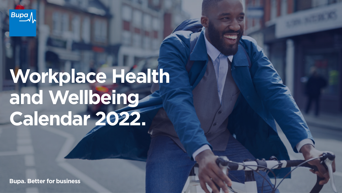**Bupa** 

# **Workplace Health and Wellbeing Calendar 2022.**

**Bupa. Better for business**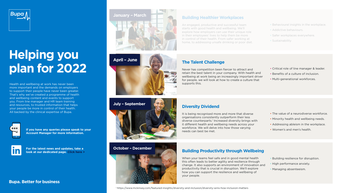

### **Helping you plan for 2022**

Health and wellbeing at work has never been more important and the demands on employers to support their people have never been greater. That's why we've created a programme of health and wellbeing content and events to support you. From line manager and HR team training and resources, to trusted information that helps your people be more in control of their health. All backed by the clinical expertise of Bupa.



**If you have any queries please speak to your Account Manager for more information.** 

**For the latest news and updates, take a look at our dedicated pag[e. Click here >](https://www.linkedin.com/showcase/bupa-business-uk)**

#### **Bupa. Better for business**



**April – June**





#### **October – December**



#### **Building Healthier Workplaces**

An engaged, productive and successful team starts with good health and wellbeing. We'll explore how employers can use their unique role in their employees' lives to help them be more in control of their health. From safer working at home, to addressing unsafe drinking or poor diet.

#### **The Talent Challenge**

Never has competition been fiercer to attract and retain the best talent in your company. With health and wellbeing at work being an increasingly important driver for people, we will look at how to create a culture that supports this.

• Critical role of line manager & leader.

• Behavioural insights in the workplace.

• Addictive behaviours.

• Sustainability

• Safer workplaces everywhere.

- Benefits of a culture of inclusion.
- Multi-generational workforces.

#### **Diversity Dividend**

It is being recognised more and more that diverse organisations consistently outperform their less diverse counterparts.<sup>1</sup> Increased diversity brings with it different health and wellbeing needs across your workforce. We will delve into how those varying needs can best be met.

- The value of a neurodiverse workforce.
- Minority health and wellbeing needs.
- Addressing ableism in the workplace.
- Women's and men's health.

#### **Building Productivity through Wellbeing**

When your teams feel safe and in good mental health this often leads to better agility and resilience through change. It also supports an environment of innovation and productivity that is crucial in disruption. We'll explore how you can support the resilience and wellbeing of your people.

- Building resilience for disruption.
- High performance anxiety.
- Managing absenteeism.

1 https://www.mckinsey.com/featured-insights/diversity-and-inclusion/diversity-wins-how-inclusion-matters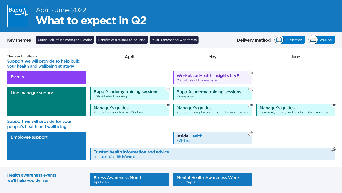

### April - June 2022 **What to expect in Q2**

| Critical role of line manager & leader<br><b>Key themes</b>                                         | Benefits of a culture of inclusion                                            |             | Multi-generational workforces                                          |                                         | <b>Delivery method</b><br>Publication                                      | Webinar       |
|-----------------------------------------------------------------------------------------------------|-------------------------------------------------------------------------------|-------------|------------------------------------------------------------------------|-----------------------------------------|----------------------------------------------------------------------------|---------------|
| The talent challenge<br>Support we will provide to help build<br>your health and wellbeing strategy | April                                                                         |             | May                                                                    |                                         | June                                                                       |               |
| <b>Events</b>                                                                                       |                                                                               |             | <b>Workplace Health Insights LIVE</b><br>Critical role of line manager |                                         |                                                                            |               |
| Line manager support                                                                                | <b>Bupa Academy training sessions</b><br>MSK & hybrid working                 | $\bigoplus$ | <b>Bupa Academy training sessions</b><br>Menopause                     |                                         |                                                                            |               |
|                                                                                                     | <b>Manager's guides</b><br>Supporting your team's MSK health                  | $\circledR$ | <b>Manager's guides</b><br>Supporting employees through the menopause  | $\textcircled{\scriptsize{\textbf{u}}}$ | <b>Manager's guides</b><br>Increasing energy and productivity in your team | $\circledR$   |
| Support we will provide for your<br>people's health and wellbeing                                   |                                                                               |             |                                                                        |                                         |                                                                            |               |
| <b>Employee support</b>                                                                             |                                                                               |             | Inside: Health<br>MSK health                                           |                                         |                                                                            |               |
|                                                                                                     | <b>Trusted health information and advice</b><br>bupa.co.uk/health-information |             |                                                                        |                                         |                                                                            | $\circled{m}$ |
|                                                                                                     |                                                                               |             |                                                                        |                                         |                                                                            |               |
| <b>Health awareness events</b><br>we'll help you deliver                                            | <b>Stress Awareness Month</b><br>April 2022                                   |             | <b>Mental Health Awareness Week</b><br>13-20 May 2022                  |                                         |                                                                            |               |